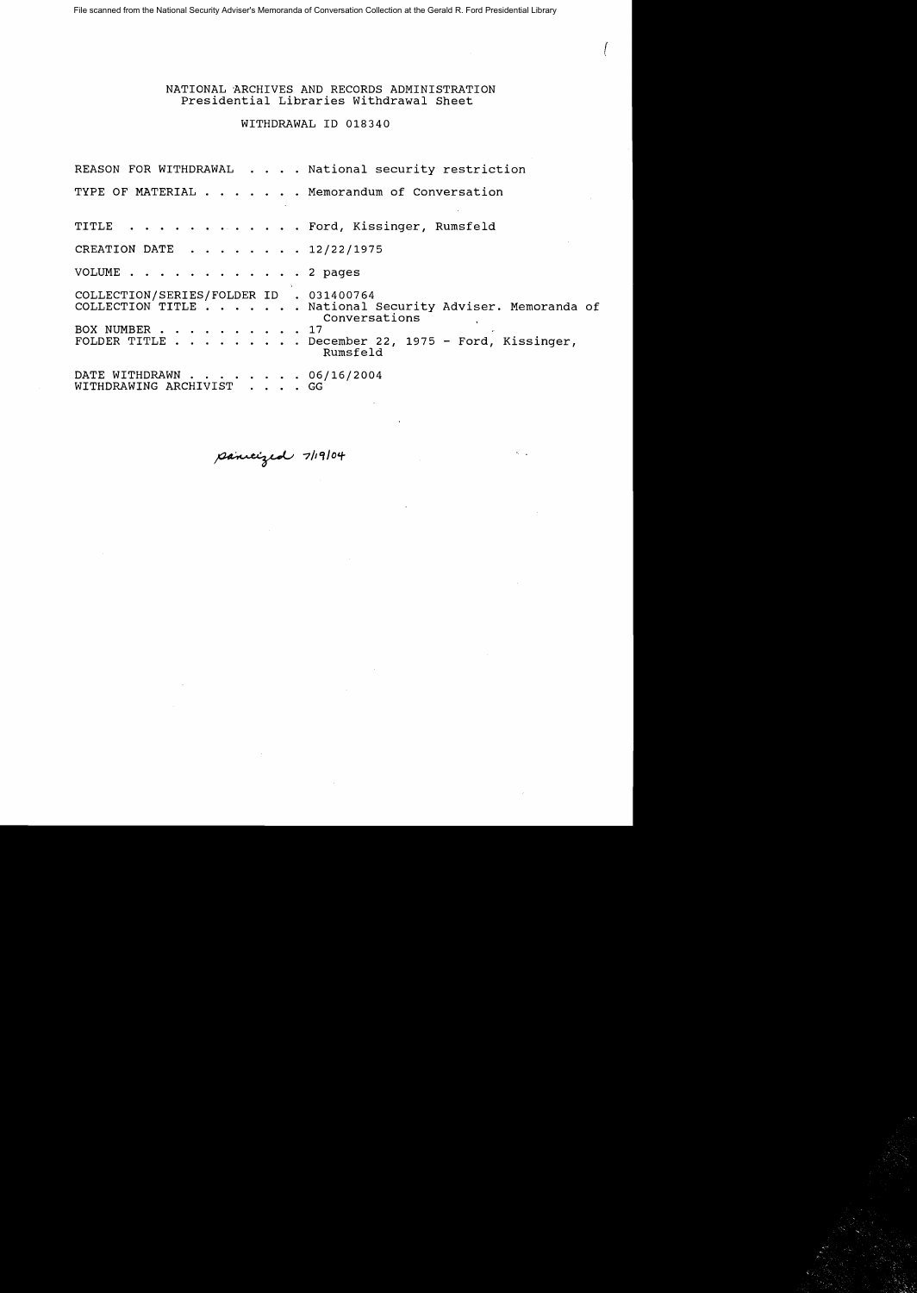File scanned from the National Security Adviser's Memoranda of Conversation Collection at the Gerald R. Ford Presidential Library

# NATIONAL ARCHIVES AND RECORDS ADMINISTRATION Presidential Libraries withdrawal Sheet

 $\left( \begin{array}{c} \end{array} \right)$ 

WITHDRAWAL ID 018340

|                                                          | REASON FOR WITHDRAWAL National security restriction                       |
|----------------------------------------------------------|---------------------------------------------------------------------------|
|                                                          | TYPE OF MATERIAL Memorandum of Conversation                               |
|                                                          | TITLE Ford, Kissinger, Rumsfeld                                           |
| CREATION DATE 12/22/1975                                 |                                                                           |
| VOLUME 2 pages                                           |                                                                           |
| COLLECTION/SERIES/FOLDER ID . 031400764<br>BOX NUMBER 17 | COLLECTION TITLE National Security Adviser. Memoranda of<br>Conversations |
|                                                          | FOLDER TITLE December 22, 1975 - Ford, Kissinger,<br>Rumsfeld             |
| DATE WITHDRAWN 06/16/2004<br>WITHDRAWING ARCHIVIST GG    |                                                                           |

**7/1'l10,#**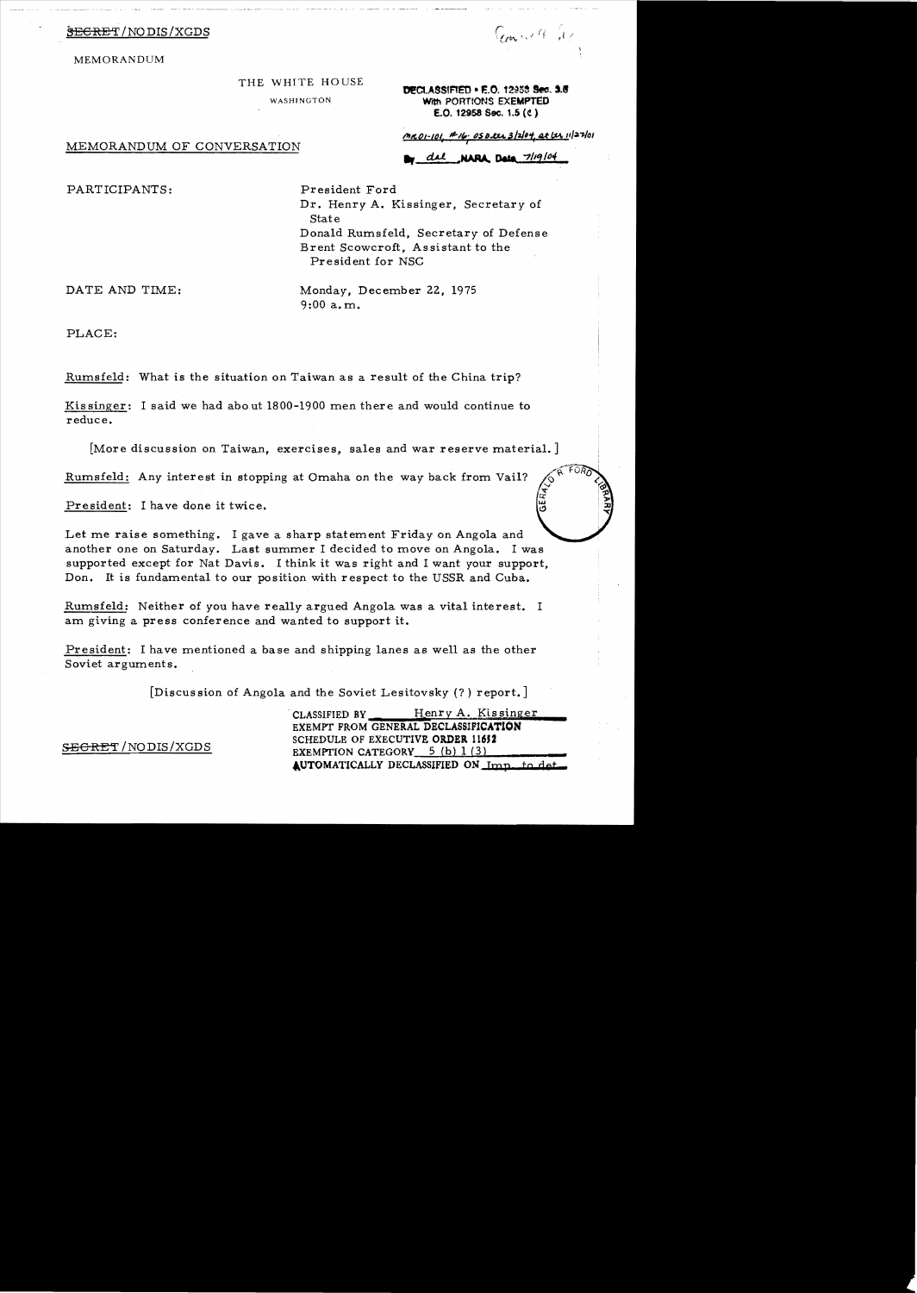MEMORANDUM

### THE WHITE HOUSE

DECLASSIFIED . F.O. 12958 Sec. 9.8 WASHINGTON With PORTIONS EXEMPTED E.O. 12958 Sec. 1.5 (e)

MEMORANDUM OF CONVERSATION

<u>MROI-101, ANG. OSDELL 3/2/04, at LLL 11/27/01</u>

w del NARA Data 7/19/04

PARTICIPANTS: President Ford

Dr. Henry A. Kissinger, Secretary of State Donald Rumsfeld, Secretary of Defense Brent Scowcroft, Assistant to the President for NSC

DATE AND TIME: Monday, December 22, 1975 9:00 a. m.

PLACE:

Rumsfeld: What is the situation on Taiwan as a result of the China trip?

Kissinger: I said we had about 1800-1900 men there and would continue to reduce.

[More discussion on Taiwan, exercises, sales and war reserve material.]

Rumsfeld: Any interest in stopping at Omaha on the *way* back from Vail?

President: I ha ve done it twice.

Let me raise something. I gave a sharp statement Friday on Angola and another one on Saturday. Last summer I decided to move on Angola. I was supported except for Nat Davis. I think it was right and I want your support, Don. It is fundamental to our position with respect to the USSR and Cuba.

Rumsfeld: Neither of you have really argued Angola was a vital interest. I am giving a press conference and wanted to support it.

President: I have mentioned a base and shipping lanes as well as the other Soviet arguments.

[Discussion of Angola and the Soviet Lesitovsky (?) report.]

CLASSIFIED BY Henry A. Kissinger EXEMPT FROM GENERAL DECLASSIFICATION SECRET /NODIS/XGDS SCHEDULE OF EXECUTIVE ORDER 11652<br>EXEMPTION CATEGORY 5 (b) 1 (3) AUTOMATICALLY DECLASSIFIED ON Imp. to det

 $\frac{1}{2}$  . The set of  $\frac{1}{2}$  is  $\frac{1}{2}$  ,  $\frac{1}{2}$ 

GERIALD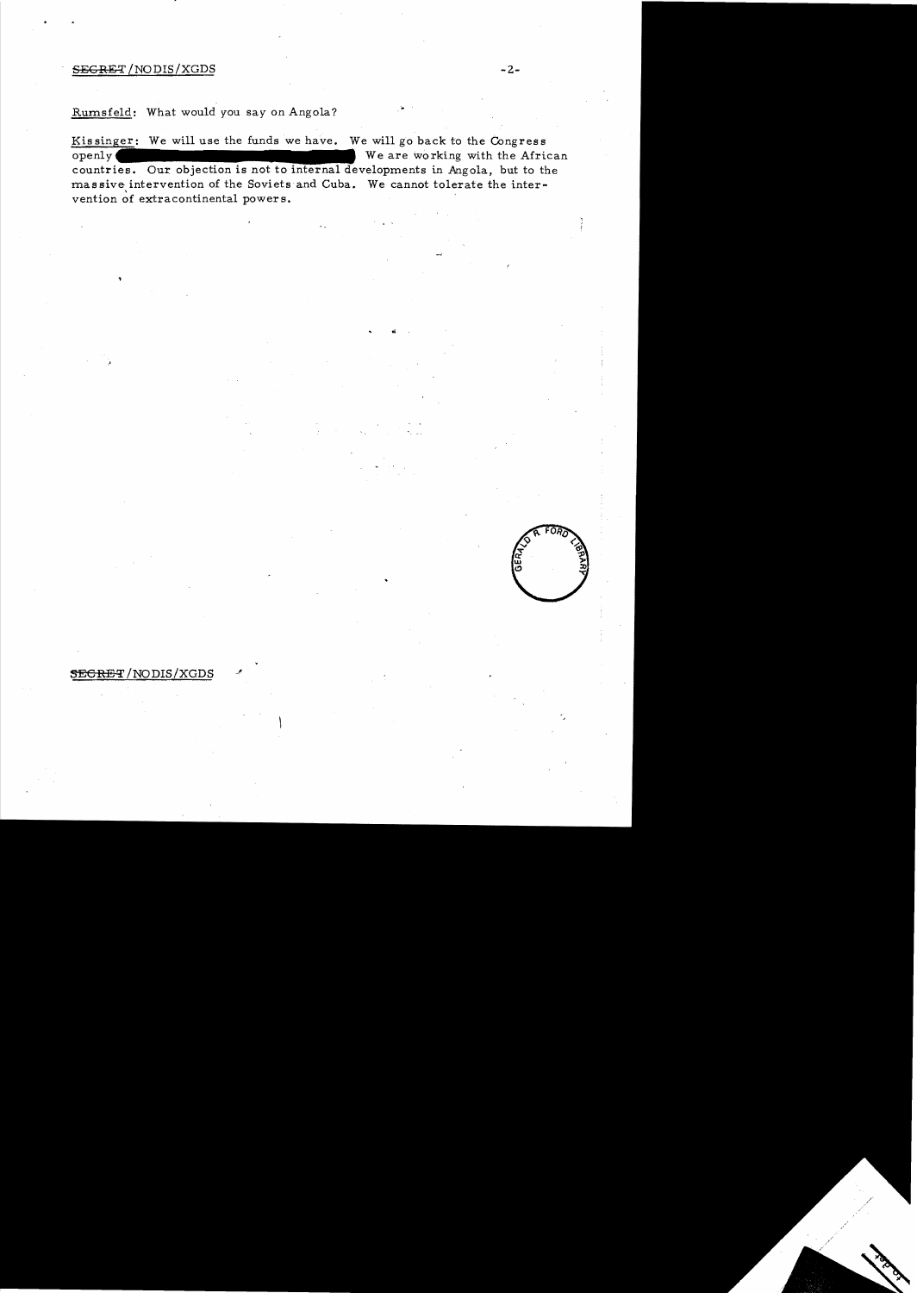#### $SEGRET / NODIS / XGDS$  -2-

.'

Rumsfeld: What would you *say* on Angola?

Kissinger: We will use the funds we have. We will go back to the Congress We are working with the African  $openly($ countries. Our objection is not to internal developments in Angola, but to the mas sive intervention of the Soviets and Cuba. We cannot tolerate the intervention of extracontinental powers.

## $\overline{\text{SEGRET}}$ /NODIS/XGDS

FOB